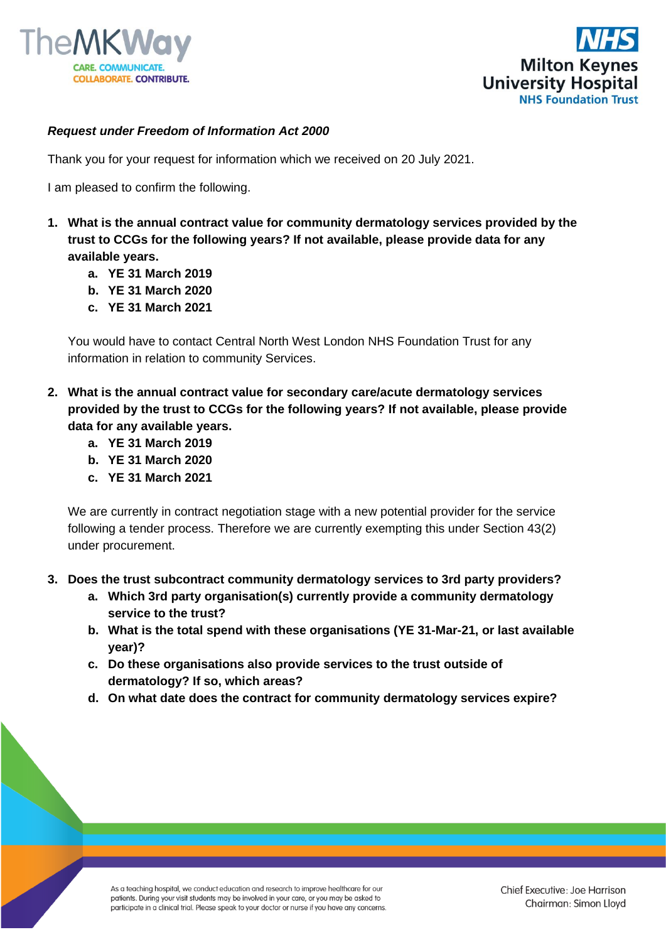



## *Request under Freedom of Information Act 2000*

Thank you for your request for information which we received on 20 July 2021.

I am pleased to confirm the following.

- **1. What is the annual contract value for community dermatology services provided by the trust to CCGs for the following years? If not available, please provide data for any available years.** 
	- **a. YE 31 March 2019**
	- **b. YE 31 March 2020**
	- **c. YE 31 March 2021**

You would have to contact Central North West London NHS Foundation Trust for any information in relation to community Services.

- **2. What is the annual contract value for secondary care/acute dermatology services provided by the trust to CCGs for the following years? If not available, please provide data for any available years.** 
	- **a. YE 31 March 2019**
	- **b. YE 31 March 2020**
	- **c. YE 31 March 2021**

We are currently in contract negotiation stage with a new potential provider for the service following a tender process. Therefore we are currently exempting this under Section 43(2) under procurement.

- **3. Does the trust subcontract community dermatology services to 3rd party providers?**
	- **a. Which 3rd party organisation(s) currently provide a community dermatology service to the trust?**
	- **b. What is the total spend with these organisations (YE 31-Mar-21, or last available year)?**
	- **c. Do these organisations also provide services to the trust outside of dermatology? If so, which areas?**
	- **d. On what date does the contract for community dermatology services expire?**

As a teaching hospital, we conduct education and research to improve healthcare for our patients. During your visit students may be involved in your care, or you may be asked to participate in a clinical trial. Please speak to your doctor or nurse if you have any concerns.